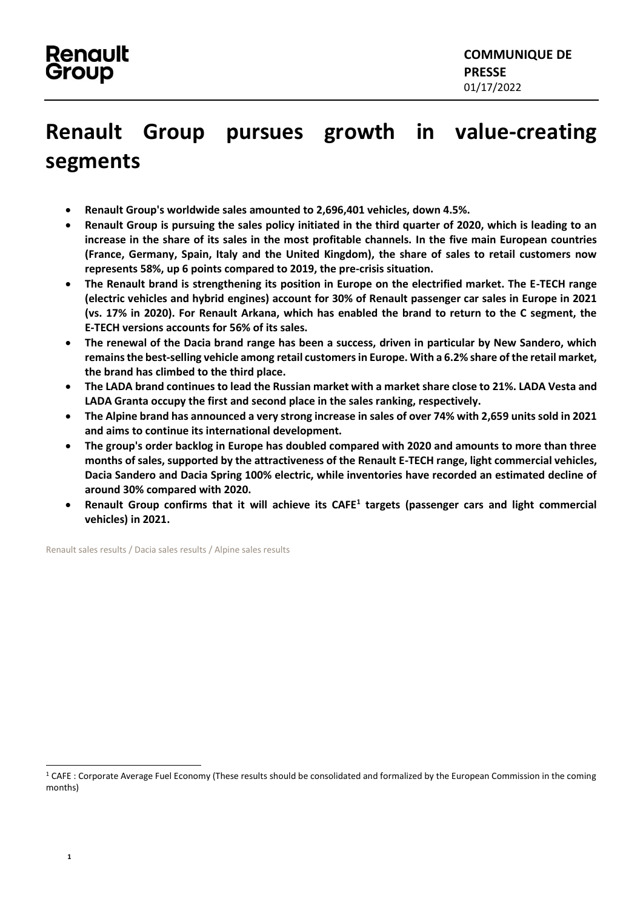## **Renault Group pursues growth in value-creating segments**

- **Renault Group's worldwide sales amounted to 2,696,401 vehicles, down 4.5%.**
- **Renault Group is pursuing the sales policy initiated in the third quarter of 2020, which is leading to an increase in the share of its sales in the most profitable channels. In the five main European countries (France, Germany, Spain, Italy and the United Kingdom), the share of sales to retail customers now represents 58%, up 6 points compared to 2019, the pre-crisis situation.**
- **The Renault brand is strengthening its position in Europe on the electrified market. The E-TECH range (electric vehicles and hybrid engines) account for 30% of Renault passenger car sales in Europe in 2021 (vs. 17% in 2020). For Renault Arkana, which has enabled the brand to return to the C segment, the E-TECH versions accounts for 56% of its sales.**
- **The renewal of the Dacia brand range has been a success, driven in particular by New Sandero, which remains the best-selling vehicle among retail customers in Europe. With a 6.2% share of the retail market, the brand has climbed to the third place.**
- **The LADA brand continues to lead the Russian market with a market share close to 21%. LADA Vesta and LADA Granta occupy the first and second place in the sales ranking, respectively.**
- **The Alpine brand has announced a very strong increase in sales of over 74% with 2,659 units sold in 2021 and aims to continue its international development.**
- **The group's order backlog in Europe has doubled compared with 2020 and amounts to more than three months of sales, supported by the attractiveness of the Renault E-TECH range, light commercial vehicles, Dacia Sandero and Dacia Spring 100% electric, while inventories have recorded an estimated decline of around 30% compared with 2020.**
- **Renault Group confirms that it will achieve its CAFE<sup>1</sup> targets (passenger cars and light commercial vehicles) in 2021.**

[Renault sales results](https://en.media.renault.com/news/2021-sales-results-renault-takes-up-the-challenge-to-electrification-and-higher-value-business-6d75-989c5.html) [/ Dacia sales results](https://en.media.dacia.com/news/dacia-accelerates-into-the-top-three-of-2021-european-retail-sales-for-the-first-time-ever-d210-989c5.html) [/ Alpine sales results](https://en.media.alpinecars.com/news/alpine-on-the-rise-in-2021-05db-989c5.html)

 $1$  CAFE: Corporate Average Fuel Economy (These results should be consolidated and formalized by the European Commission in the coming months)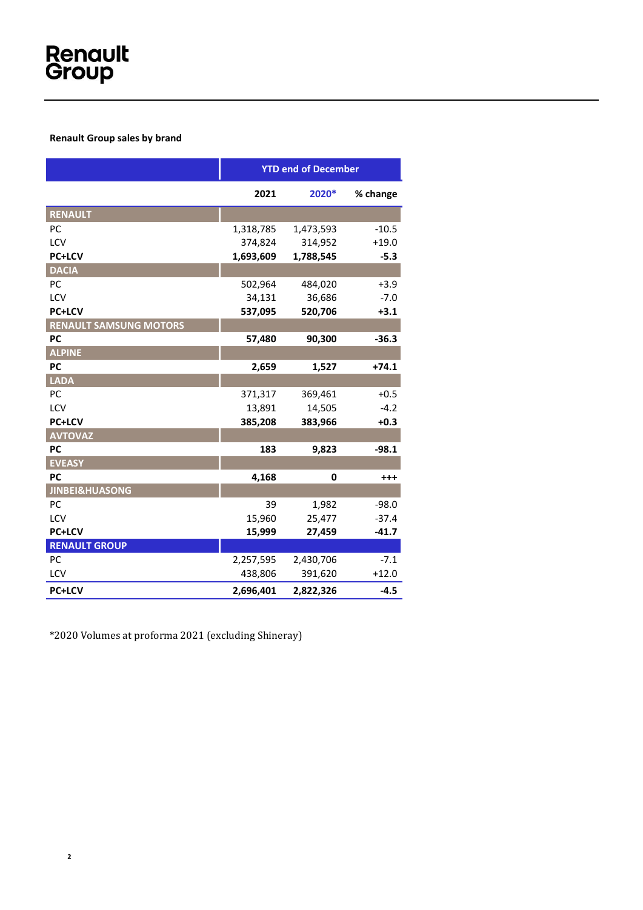## **Renault Group sales by brand**

|                               | <b>YTD end of December</b> |           |          |
|-------------------------------|----------------------------|-----------|----------|
|                               | 2021                       | 2020*     | % change |
| RENAULT                       |                            |           |          |
| PC                            | 1,318,785                  | 1,473,593 | $-10.5$  |
| LCV                           | 374,824                    | 314,952   | $+19.0$  |
| <b>PC+LCV</b>                 | 1,693,609                  | 1,788,545 | $-5.3$   |
| <b>DACIA</b>                  |                            |           |          |
| PC                            | 502,964                    | 484,020   | $+3.9$   |
| LCV                           | 34,131                     | 36,686    | $-7.0$   |
| <b>PC+LCV</b>                 | 537,095                    | 520,706   | $+3.1$   |
| <b>RENAULT SAMSUNG MOTORS</b> |                            |           |          |
| PC                            | 57,480                     | 90,300    | $-36.3$  |
| <b>ALPINE</b>                 |                            |           |          |
| PC                            | 2,659                      | 1,527     | $+74.1$  |
| <b>LADA</b>                   |                            |           |          |
| PC                            | 371,317                    | 369,461   | $+0.5$   |
| LCV                           | 13,891                     | 14,505    | $-4.2$   |
| PC+LCV                        | 385,208                    | 383,966   | $+0.3$   |
| <b>AVTOVAZ</b>                |                            |           |          |
| <b>PC</b>                     | 183                        | 9,823     | $-98.1$  |
| <b>EVEASY</b>                 |                            |           |          |
| <b>PC</b>                     | 4,168                      | 0         | $^{++}$  |
| <b>JINBEI&amp;HUASONG</b>     |                            |           |          |
| PC                            | 39                         | 1,982     | $-98.0$  |
| LCV                           | 15,960                     | 25,477    | $-37.4$  |
| <b>PC+LCV</b>                 | 15,999                     | 27,459    | $-41.7$  |
| <b>RENAULT GROUP</b>          |                            |           |          |
| PC                            | 2,257,595                  | 2,430,706 | $-7.1$   |
| LCV                           | 438,806                    | 391,620   | $+12.0$  |
| <b>PC+LCV</b>                 | 2,696,401                  | 2,822,326 | $-4.5$   |

\*2020 Volumes at proforma 2021 (excluding Shineray)